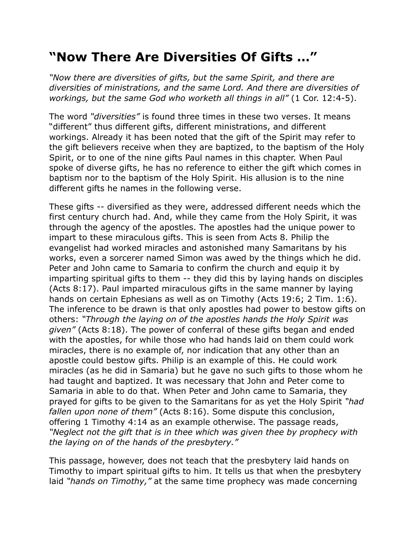## **"Now There Are Diversities Of Gifts …"**

*"Now there are diversities of gifts, but the same Spirit, and there are diversities of ministrations, and the same Lord. And there are diversities of workings, but the same God who worketh all things in all"* (1 Cor. 12:4-5).

The word *"diversities"* is found three times in these two verses. It means "different" thus different gifts, different ministrations, and different workings. Already it has been noted that the gift of the Spirit may refer to the gift believers receive when they are baptized, to the baptism of the Holy Spirit, or to one of the nine gifts Paul names in this chapter. When Paul spoke of diverse gifts, he has no reference to either the gift which comes in baptism nor to the baptism of the Holy Spirit. His allusion is to the nine different gifts he names in the following verse.

These gifts -- diversified as they were, addressed different needs which the first century church had. And, while they came from the Holy Spirit, it was through the agency of the apostles. The apostles had the unique power to impart to these miraculous gifts. This is seen from Acts 8. Philip the evangelist had worked miracles and astonished many Samaritans by his works, even a sorcerer named Simon was awed by the things which he did. Peter and John came to Samaria to confirm the church and equip it by imparting spiritual gifts to them -- they did this by laying hands on disciples (Acts 8:17). Paul imparted miraculous gifts in the same manner by laying hands on certain Ephesians as well as on Timothy (Acts 19:6; 2 Tim. 1:6). The inference to be drawn is that only apostles had power to bestow gifts on others: *"Through the laying on of the apostles hands the Holy Spirit was given"* (Acts 8:18). The power of conferral of these gifts began and ended with the apostles, for while those who had hands laid on them could work miracles, there is no example of, nor indication that any other than an apostle could bestow gifts. Philip is an example of this. He could work miracles (as he did in Samaria) but he gave no such gifts to those whom he had taught and baptized. It was necessary that John and Peter come to Samaria in able to do that. When Peter and John came to Samaria, they prayed for gifts to be given to the Samaritans for as yet the Holy Spirit *"had fallen upon none of them"* (Acts 8:16). Some dispute this conclusion, offering 1 Timothy 4:14 as an example otherwise. The passage reads, *"Neglect not the gift that is in thee which was given thee by prophecy with the laying on of the hands of the presbytery."*

This passage, however, does not teach that the presbytery laid hands on Timothy to impart spiritual gifts to him. It tells us that when the presbytery laid *"hands on Timothy,"* at the same time prophecy was made concerning